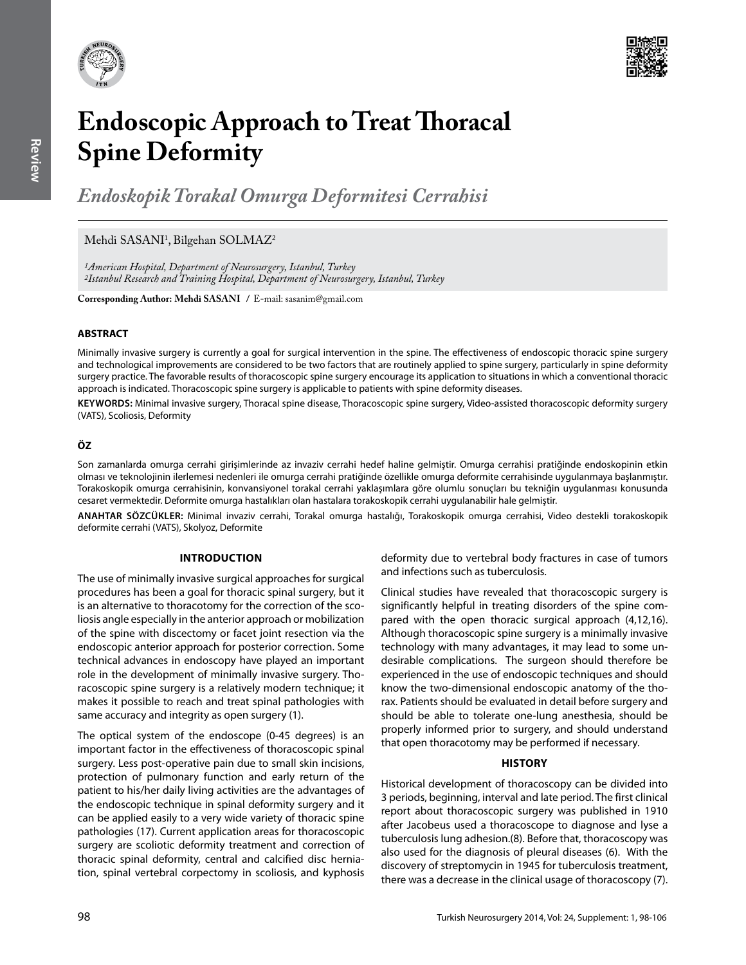



# **Endoscopic Approach to Treat Thoracal Spine Deformity**

*Endoskopik Torakal Omurga Deformitesi Cerrahisi* 

# Mehdi SASANI<sup>1</sup>, Bilgehan SOLMAZ<sup>2</sup>

*1American Hospital, Department of Neurosurgery, Istanbul, Turkey 2Istanbul Research and Training Hospital, Department of Neurosurgery, Istanbul, Turkey*

**Corresponding Author: Mehdi SASANI / E-mail: sasanim@gmail.com** 

# **ABSTRACT**

Minimally invasive surgery is currently a goal for surgical intervention in the spine. The effectiveness of endoscopic thoracic spine surgery and technological improvements are considered to be two factors that are routinely applied to spine surgery, particularly in spine deformity surgery practice. The favorable results of thoracoscopic spine surgery encourage its application to situations in which a conventional thoracic approach is indicated. Thoracoscopic spine surgery is applicable to patients with spine deformity diseases.

**Keywords:** Minimal invasive surgery, Thoracal spine disease, Thoracoscopic spine surgery, Video-assisted thoracoscopic deformity surgery (VATS), Scoliosis, Deformity

# **ÖZ**

Son zamanlarda omurga cerrahi girişimlerinde az invaziv cerrahi hedef haline gelmiştir. Omurga cerrahisi pratiğinde endoskopinin etkin olması ve teknolojinin ilerlemesi nedenleri ile omurga cerrahi pratiğinde özellikle omurga deformite cerrahisinde uygulanmaya başlanmıştır. Torakoskopik omurga cerrahisinin, konvansiyonel torakal cerrahi yaklaşımlara göre olumlu sonuçları bu tekniğin uygulanması konusunda cesaret vermektedir. Deformite omurga hastalıkları olan hastalara torakoskopik cerrahi uygulanabilir hale gelmiştir.

**ANAHTAR SÖZCÜKLER:** Minimal invaziv cerrahi, Torakal omurga hastalığı, Torakoskopik omurga cerrahisi, Video destekli torakoskopik deformite cerrahi (VATS), Skolyoz, Deformite

#### **Introductıon**

The use of minimally invasive surgical approaches for surgical procedures has been a goal for thoracic spinal surgery, but it is an alternative to thoracotomy for the correction of the scoliosis angle especially in the anterior approach or mobilization of the spine with discectomy or facet joint resection via the endoscopic anterior approach for posterior correction. Some technical advances in endoscopy have played an important role in the development of minimally invasive surgery. Thoracoscopic spine surgery is a relatively modern technique; it makes it possible to reach and treat spinal pathologies with same accuracy and integrity as open surgery (1).

The optical system of the endoscope (0-45 degrees) is an important factor in the effectiveness of thoracoscopic spinal surgery. Less post-operative pain due to small skin incisions, protection of pulmonary function and early return of the patient to his/her daily living activities are the advantages of the endoscopic technique in spinal deformity surgery and it can be applied easily to a very wide variety of thoracic spine pathologies (17). Current application areas for thoracoscopic surgery are scoliotic deformity treatment and correction of thoracic spinal deformity, central and calcified disc herniation, spinal vertebral corpectomy in scoliosis, and kyphosis

deformity due to vertebral body fractures in case of tumors and infections such as tuberculosis.

Clinical studies have revealed that thoracoscopic surgery is significantly helpful in treating disorders of the spine compared with the open thoracic surgical approach (4,12,16). Although thoracoscopic spine surgery is a minimally invasive technology with many advantages, it may lead to some undesirable complications. The surgeon should therefore be experienced in the use of endoscopic techniques and should know the two-dimensional endoscopic anatomy of the thorax. Patients should be evaluated in detail before surgery and should be able to tolerate one-lung anesthesia, should be properly informed prior to surgery, and should understand that open thoracotomy may be performed if necessary.

#### **Hıstory**

Historical development of thoracoscopy can be divided into 3 periods, beginning, interval and late period. The first clinical report about thoracoscopic surgery was published in 1910 after Jacobeus used a thoracoscope to diagnose and lyse a tuberculosis lung adhesion.(8). Before that, thoracoscopy was also used for the diagnosis of pleural diseases (6). With the discovery of streptomycin in 1945 for tuberculosis treatment, there was a decrease in the clinical usage of thoracoscopy (7).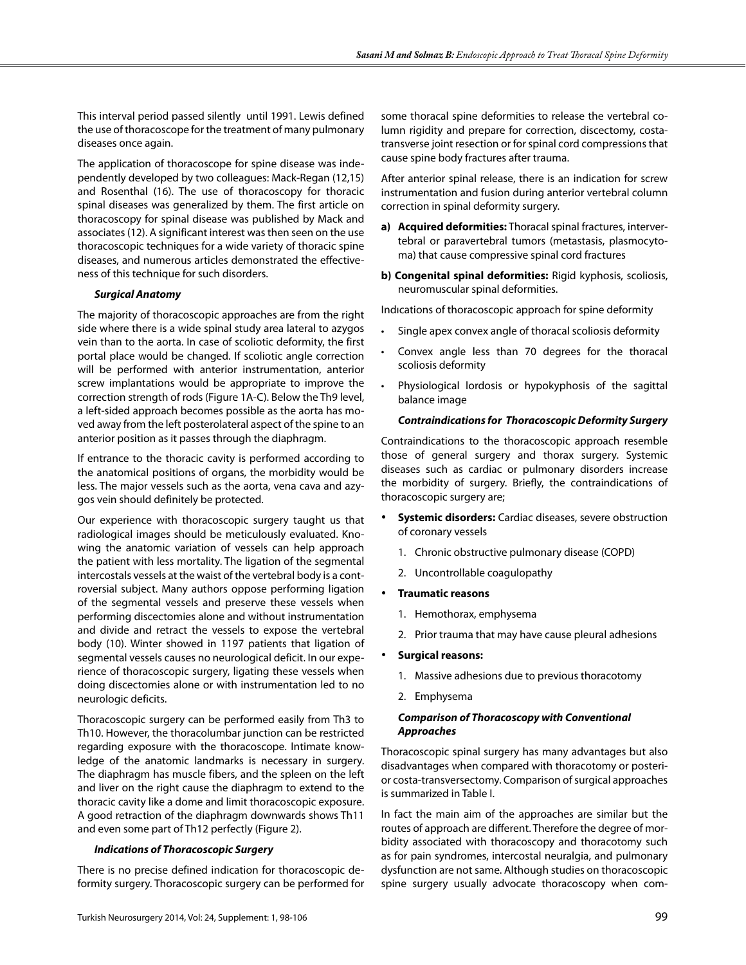This interval period passed silently until 1991. Lewis defined the use of thoracoscope for the treatment of many pulmonary diseases once again.

The application of thoracoscope for spine disease was independently developed by two colleagues: Mack-Regan (12,15) and Rosenthal (16). The use of thoracoscopy for thoracic spinal diseases was generalized by them. The first article on thoracoscopy for spinal disease was published by Mack and associates (12). A significant interest was then seen on the use thoracoscopic techniques for a wide variety of thoracic spine diseases, and numerous articles demonstrated the effectiveness of this technique for such disorders.

# *Surgical Anatomy*

The majority of thoracoscopic approaches are from the right side where there is a wide spinal study area lateral to azygos vein than to the aorta. In case of scoliotic deformity, the first portal place would be changed. If scoliotic angle correction will be performed with anterior instrumentation, anterior screw implantations would be appropriate to improve the correction strength of rods (Figure 1A-C). Below the Th9 level, a left-sided approach becomes possible as the aorta has moved away from the left posterolateral aspect of the spine to an anterior position as it passes through the diaphragm.

If entrance to the thoracic cavity is performed according to the anatomical positions of organs, the morbidity would be less. The major vessels such as the aorta, vena cava and azygos vein should definitely be protected.

Our experience with thoracoscopic surgery taught us that radiological images should be meticulously evaluated. Knowing the anatomic variation of vessels can help approach the patient with less mortality. The ligation of the segmental intercostals vessels at the waist of the vertebral body is a controversial subject. Many authors oppose performing ligation of the segmental vessels and preserve these vessels when performing discectomies alone and without instrumentation and divide and retract the vessels to expose the vertebral body (10). Winter showed in 1197 patients that ligation of segmental vessels causes no neurological deficit. In our experience of thoracoscopic surgery, ligating these vessels when doing discectomies alone or with instrumentation led to no neurologic deficits.

Thoracoscopic surgery can be performed easily from Th3 to Th10. However, the thoracolumbar junction can be restricted regarding exposure with the thoracoscope. Intimate knowledge of the anatomic landmarks is necessary in surgery. The diaphragm has muscle fibers, and the spleen on the left and liver on the right cause the diaphragm to extend to the thoracic cavity like a dome and limit thoracoscopic exposure. A good retraction of the diaphragm downwards shows Th11 and even some part of Th12 perfectly (Figure 2).

#### *Indications of Thoracoscopic Surgery*

There is no precise defined indication for thoracoscopic deformity surgery. Thoracoscopic surgery can be performed for

some thoracal spine deformities to release the vertebral column rigidity and prepare for correction, discectomy, costatransverse joint resection or for spinal cord compressions that cause spine body fractures after trauma.

After anterior spinal release, there is an indication for screw instrumentation and fusion during anterior vertebral column correction in spinal deformity surgery.

- **a) Acquired deformities:** Thoracal spinal fractures, intervertebral or paravertebral tumors (metastasis, plasmocytoma) that cause compressive spinal cord fractures
- **b) Congenital spinal deformities:** Rigid kyphosis, scoliosis, neuromuscular spinal deformities.

Indıcations of thoracoscopic approach for spine deformity

- Single apex convex angle of thoracal scoliosis deformity
- Convex angle less than 70 degrees for the thoracal scoliosis deformity
- Physiological lordosis or hypokyphosis of the sagittal balance image

# *Contraindications for Thoracoscopic Deformity Surgery*

Contraindications to the thoracoscopic approach resemble those of general surgery and thorax surgery. Systemic diseases such as cardiac or pulmonary disorders increase the morbidity of surgery. Briefly, the contraindications of thoracoscopic surgery are;

- **Systemic disorders:** Cardiac diseases, severe obstruction of coronary vessels
	- 1. Chronic obstructive pulmonary disease (COPD)
	- 2. Uncontrollable coagulopathy
- • **Traumatic reasons**
	- 1. Hemothorax, emphysema
	- 2. Prior trauma that may have cause pleural adhesions

#### **Surgical reasons:**

- 1. Massive adhesions due to previous thoracotomy
- 2. Emphysema

# *Comparison of Thoracoscopy with Conventional Approaches*

Thoracoscopic spinal surgery has many advantages but also disadvantages when compared with thoracotomy or posterior costa-transversectomy. Comparison of surgical approaches is summarized in Table I.

In fact the main aim of the approaches are similar but the routes of approach are different. Therefore the degree of morbidity associated with thoracoscopy and thoracotomy such as for pain syndromes, intercostal neuralgia, and pulmonary dysfunction are not same. Although studies on thoracoscopic spine surgery usually advocate thoracoscopy when com-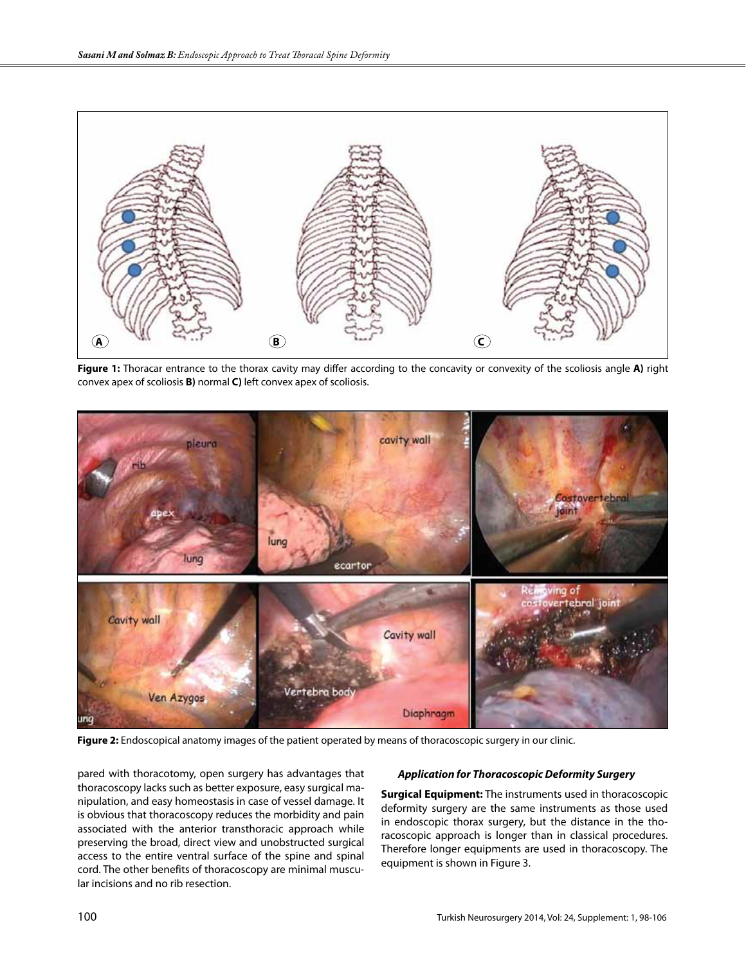

**Figure 1:** Thoracar entrance to the thorax cavity may differ according to the concavity or convexity of the scoliosis angle **A)** right convex apex of scoliosis **B)** normal **C)** left convex apex of scoliosis.



**Figure 2:** Endoscopical anatomy images of the patient operated by means of thoracoscopic surgery in our clinic.

pared with thoracotomy, open surgery has advantages that thoracoscopy lacks such as better exposure, easy surgical manipulation, and easy homeostasis in case of vessel damage. It is obvious that thoracoscopy reduces the morbidity and pain associated with the anterior transthoracic approach while preserving the broad, direct view and unobstructed surgical access to the entire ventral surface of the spine and spinal cord. The other benefits of thoracoscopy are minimal muscular incisions and no rib resection.

# *Application for Thoracoscopic Deformity Surgery*

**Surgical Equipment:** The instruments used in thoracoscopic deformity surgery are the same instruments as those used in endoscopic thorax surgery, but the distance in the thoracoscopic approach is longer than in classical procedures. Therefore longer equipments are used in thoracoscopy. The equipment is shown in Figure 3.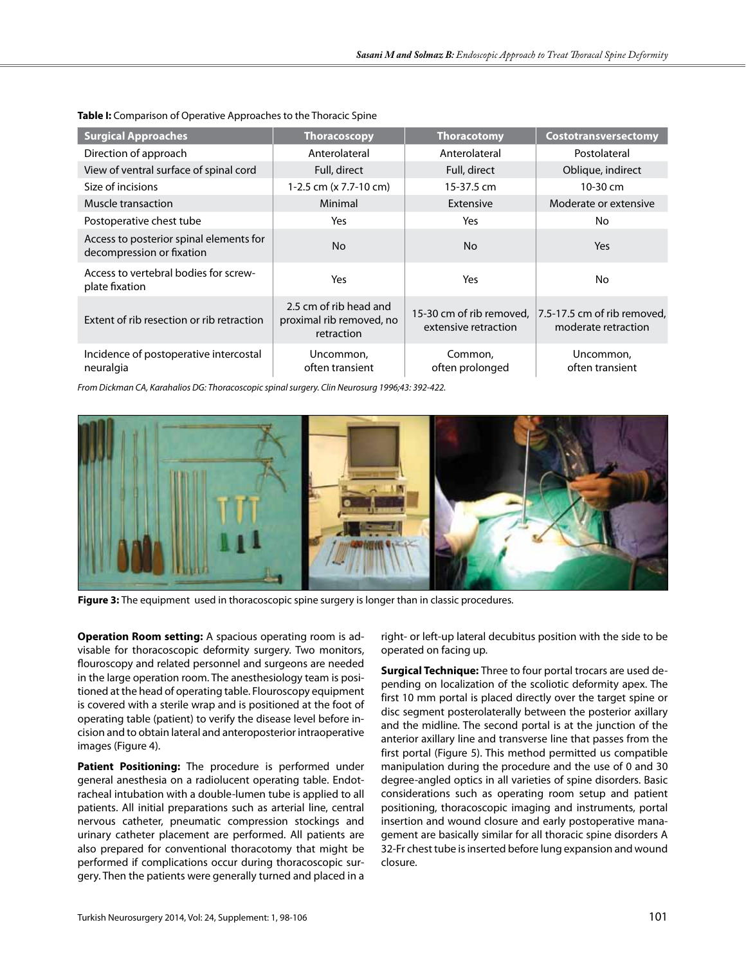| <b>Surgical Approaches</b>                                           | <b>Thoracoscopy</b>                                              | <b>Thoracotomy</b>         | Costotransversectomy                                                        |
|----------------------------------------------------------------------|------------------------------------------------------------------|----------------------------|-----------------------------------------------------------------------------|
| Direction of approach                                                | Anterolateral                                                    | Anterolateral              | Postolateral                                                                |
| View of ventral surface of spinal cord                               | Full, direct                                                     | Full, direct               | Oblique, indirect                                                           |
| Size of incisions                                                    | 1-2.5 cm (x 7.7-10 cm)                                           | 15-37.5 cm                 | $10-30$ cm                                                                  |
| Muscle transaction                                                   | Minimal                                                          | Extensive                  | Moderate or extensive                                                       |
| Postoperative chest tube                                             | Yes                                                              | Yes                        | No                                                                          |
| Access to posterior spinal elements for<br>decompression or fixation | No.                                                              | <b>No</b>                  | <b>Yes</b>                                                                  |
| Access to vertebral bodies for screw-<br>plate fixation              | Yes                                                              | Yes                        | No                                                                          |
| Extent of rib resection or rib retraction                            | 2.5 cm of rib head and<br>proximal rib removed, no<br>retraction | extensive retraction       | 15-30 cm of rib removed, 7.5-17.5 cm of rib removed,<br>moderate retraction |
| Incidence of postoperative intercostal<br>neuralgia                  | Uncommon,<br>often transient                                     | Common.<br>often prolonged | Uncommon,<br>often transient                                                |

**Table I:** Comparison of Operative Approaches to the Thoracic Spine

*From Dickman CA, Karahalios DG: Thoracoscopic spinal surgery. Clin Neurosurg 1996;43: 392-422.*



**Figure 3:** The equipment used in thoracoscopic spine surgery is longer than in classic procedures.

**Operation Room setting:** A spacious operating room is advisable for thoracoscopic deformity surgery. Two monitors, flouroscopy and related personnel and surgeons are needed in the large operation room. The anesthesiology team is positioned at the head of operating table. Flouroscopy equipment is covered with a sterile wrap and is positioned at the foot of operating table (patient) to verify the disease level before incision and to obtain lateral and anteroposterior intraoperative images (Figure 4).

**Patient Positioning:** The procedure is performed under general anesthesia on a radiolucent operating table. Endotracheal intubation with a double-lumen tube is applied to all patients. All initial preparations such as arterial line, central nervous catheter, pneumatic compression stockings and urinary catheter placement are performed. All patients are also prepared for conventional thoracotomy that might be performed if complications occur during thoracoscopic surgery. Then the patients were generally turned and placed in a

right- or left-up lateral decubitus position with the side to be operated on facing up.

**Surgical Technique:** Three to four portal trocars are used depending on localization of the scoliotic deformity apex. The first 10 mm portal is placed directly over the target spine or disc segment posterolaterally between the posterior axillary and the midline. The second portal is at the junction of the anterior axillary line and transverse line that passes from the first portal (Figure 5). This method permitted us compatible manipulation during the procedure and the use of 0 and 30 degree-angled optics in all varieties of spine disorders. Basic considerations such as operating room setup and patient positioning, thoracoscopic imaging and instruments, portal insertion and wound closure and early postoperative management are basically similar for all thoracic spine disorders A 32-Fr chest tube is inserted before lung expansion and wound closure.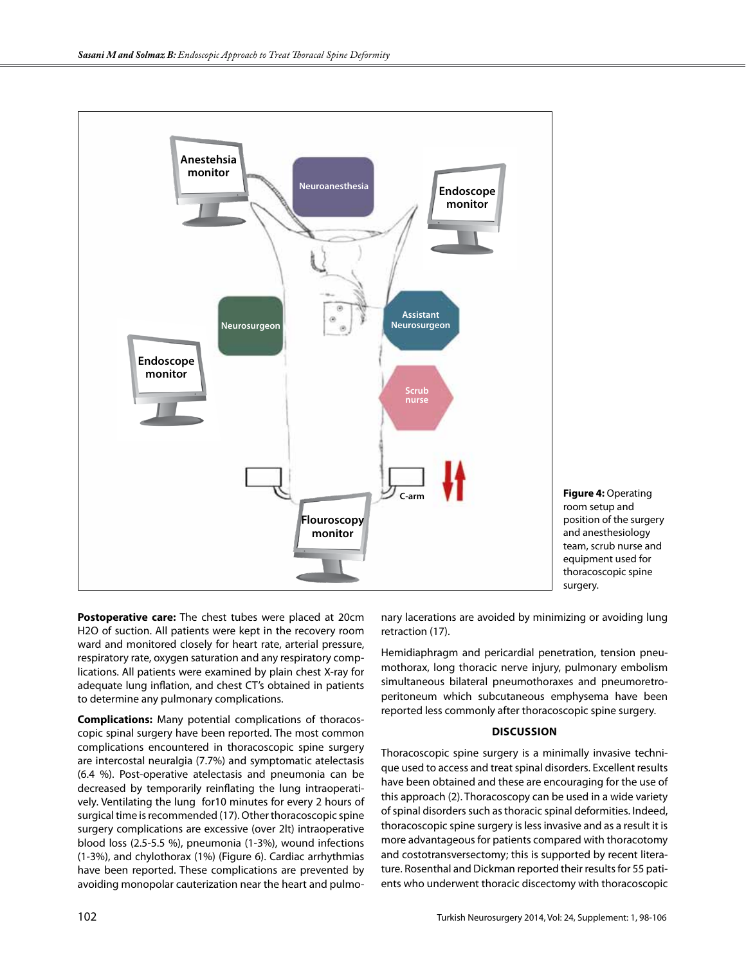

**Figure 4:** Operating room setup and position of the surgery and anesthesiology team, scrub nurse and equipment used for thoracoscopic spine surgery.

**Postoperative care:** The chest tubes were placed at 20cm H2O of suction. All patients were kept in the recovery room ward and monitored closely for heart rate, arterial pressure, respiratory rate, oxygen saturation and any respiratory complications. All patients were examined by plain chest X-ray for adequate lung inflation, and chest CT's obtained in patients to determine any pulmonary complications.

**Complications:** Many potential complications of thoracoscopic spinal surgery have been reported. The most common complications encountered in thoracoscopic spine surgery are intercostal neuralgia (7.7%) and symptomatic atelectasis (6.4 %). Post-operative atelectasis and pneumonia can be decreased by temporarily reinflating the lung intraoperatively. Ventilating the lung for10 minutes for every 2 hours of surgical time is recommended (17). Other thoracoscopic spine surgery complications are excessive (over 2lt) intraoperative blood loss (2.5-5.5 %), pneumonia (1-3%), wound infections (1-3%), and chylothorax (1%) (Figure 6). Cardiac arrhythmias have been reported. These complications are prevented by avoiding monopolar cauterization near the heart and pulmo-

nary lacerations are avoided by minimizing or avoiding lung retraction (17).

Hemidiaphragm and pericardial penetration, tension pneumothorax, long thoracic nerve injury, pulmonary embolism simultaneous bilateral pneumothoraxes and pneumoretroperitoneum which subcutaneous emphysema have been reported less commonly after thoracoscopic spine surgery.

# **Dıscussıon**

Thoracoscopic spine surgery is a minimally invasive technique used to access and treat spinal disorders. Excellent results have been obtained and these are encouraging for the use of this approach (2). Thoracoscopy can be used in a wide variety of spinal disorders such as thoracic spinal deformities. Indeed, thoracoscopic spine surgery is less invasive and as a result it is more advantageous for patients compared with thoracotomy and costotransversectomy; this is supported by recent literature. Rosenthal and Dickman reported their results for 55 patients who underwent thoracic discectomy with thoracoscopic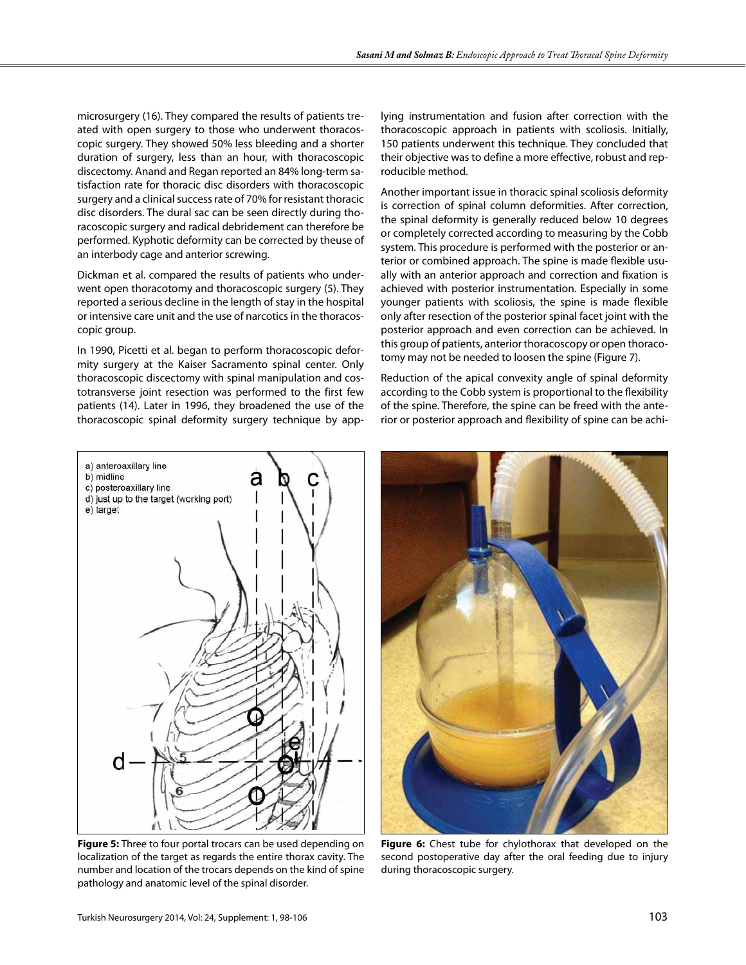microsurgery (16). They compared the results of patients treated with open surgery to those who underwent thoracoscopic surgery. They showed 50% less bleeding and a shorter duration of surgery, less than an hour, with thoracoscopic discectomy. Anand and Regan reported an 84% long-term satisfaction rate for thoracic disc disorders with thoracoscopic surgery and a clinical success rate of 70% for resistant thoracic disc disorders. The dural sac can be seen directly during thoracoscopic surgery and radical debridement can therefore be performed. Kyphotic deformity can be corrected by theuse of an interbody cage and anterior screwing.

Dickman et al. compared the results of patients who underwent open thoracotomy and thoracoscopic surgery (5). They reported a serious decline in the length of stay in the hospital or intensive care unit and the use of narcotics in the thoracoscopic group.

In 1990, Picetti et al. began to perform thoracoscopic deformity surgery at the Kaiser Sacramento spinal center. Only thoracoscopic discectomy with spinal manipulation and costotransverse joint resection was performed to the first few patients (14). Later in 1996, they broadened the use of the thoracoscopic spinal deformity surgery technique by applying instrumentation and fusion after correction with the thoracoscopic approach in patients with scoliosis. Initially, 150 patients underwent this technique. They concluded that their objective was to define a more effective, robust and reproducible method.

Another important issue in thoracic spinal scoliosis deformity is correction of spinal column deformities. After correction, the spinal deformity is generally reduced below 10 degrees or completely corrected according to measuring by the Cobb system. This procedure is performed with the posterior or anterior or combined approach. The spine is made flexible usually with an anterior approach and correction and fixation is achieved with posterior instrumentation. Especially in some younger patients with scoliosis, the spine is made flexible only after resection of the posterior spinal facet joint with the posterior approach and even correction can be achieved. In this group of patients, anterior thoracoscopy or open thoracotomy may not be needed to loosen the spine (Figure 7).

Reduction of the apical convexity angle of spinal deformity according to the Cobb system is proportional to the flexibility of the spine. Therefore, the spine can be freed with the anterior or posterior approach and flexibility of spine can be achi-



**Figure 5:** Three to four portal trocars can be used depending on localization of the target as regards the entire thorax cavity. The number and location of the trocars depends on the kind of spine pathology and anatomic level of the spinal disorder.



**Figure 6:** Chest tube for chylothorax that developed on the second postoperative day after the oral feeding due to injury during thoracoscopic surgery.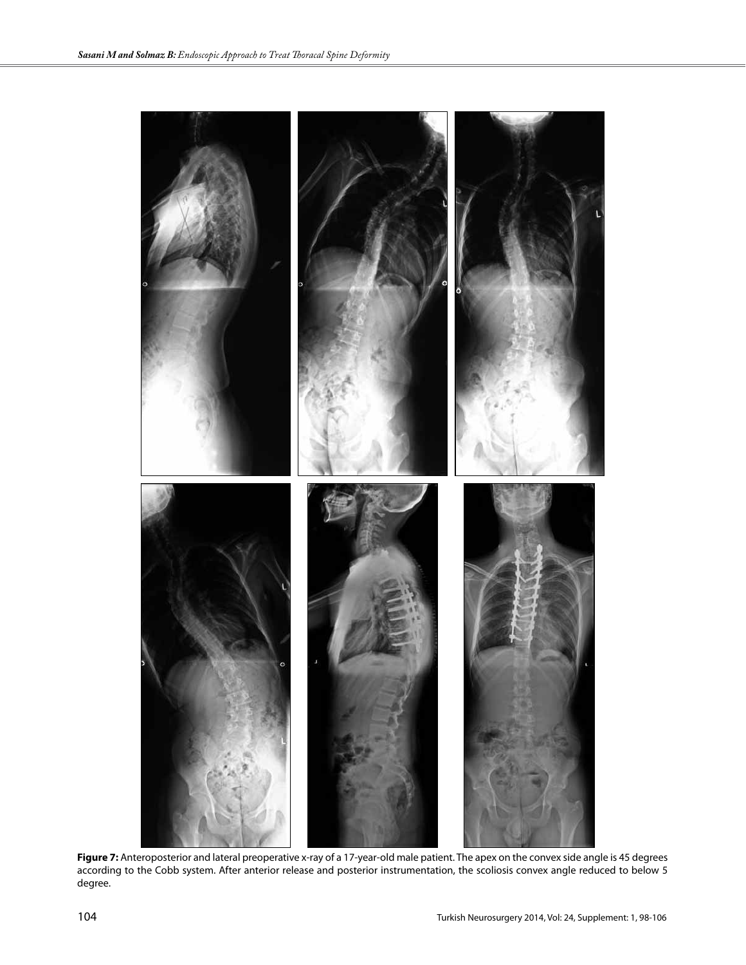

**Figure 7:** Anteroposterior and lateral preoperative x-ray of a 17-year-old male patient. The apex on the convex side angle is 45 degrees according to the Cobb system. After anterior release and posterior instrumentation, the scoliosis convex angle reduced to below 5 degree.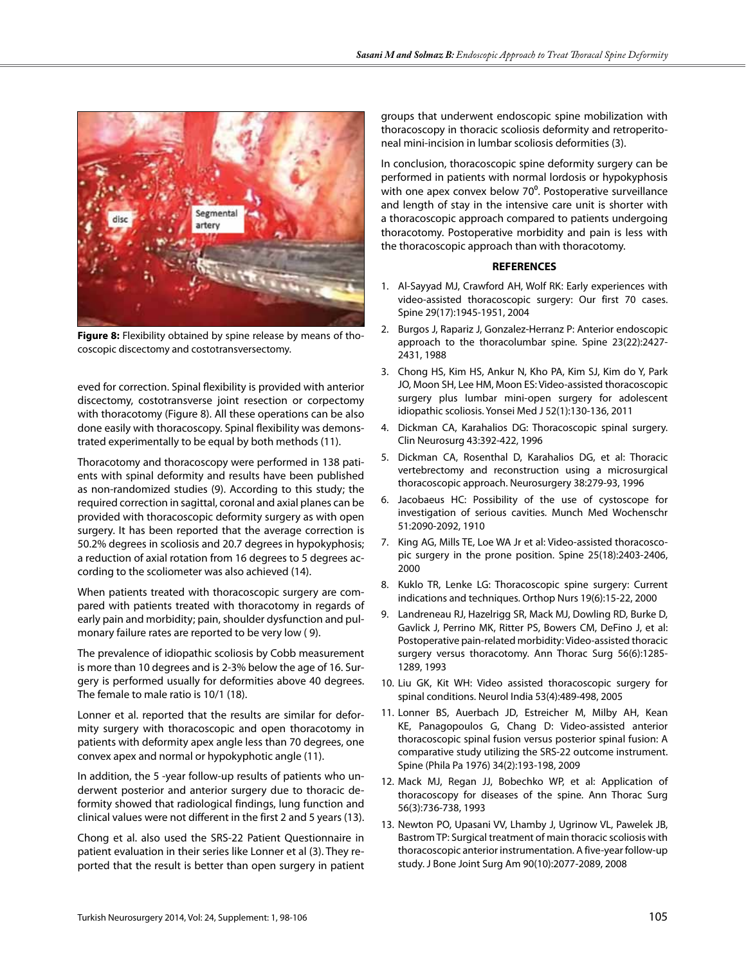

**Figure 8:** Flexibility obtained by spine release by means of thocoscopic discectomy and costotransversectomy.

eved for correction. Spinal flexibility is provided with anterior discectomy, costotransverse joint resection or corpectomy with thoracotomy (Figure 8). All these operations can be also done easily with thoracoscopy. Spinal flexibility was demonstrated experimentally to be equal by both methods (11).

Thoracotomy and thoracoscopy were performed in 138 patients with spinal deformity and results have been published as non-randomized studies (9). According to this study; the required correction in sagittal, coronal and axial planes can be provided with thoracoscopic deformity surgery as with open surgery. It has been reported that the average correction is 50.2% degrees in scoliosis and 20.7 degrees in hypokyphosis; a reduction of axial rotation from 16 degrees to 5 degrees according to the scoliometer was also achieved (14).

When patients treated with thoracoscopic surgery are compared with patients treated with thoracotomy in regards of early pain and morbidity; pain, shoulder dysfunction and pulmonary failure rates are reported to be very low ( 9).

The prevalence of idiopathic scoliosis by Cobb measurement is more than 10 degrees and is 2-3% below the age of 16. Surgery is performed usually for deformities above 40 degrees. The female to male ratio is 10/1 (18).

Lonner et al. reported that the results are similar for deformity surgery with thoracoscopic and open thoracotomy in patients with deformity apex angle less than 70 degrees, one convex apex and normal or hypokyphotic angle (11).

In addition, the 5 -year follow-up results of patients who underwent posterior and anterior surgery due to thoracic deformity showed that radiological findings, lung function and clinical values were not different in the first 2 and 5 years (13).

Chong et al. also used the SRS-22 Patient Questionnaire in patient evaluation in their series like Lonner et al (3). They reported that the result is better than open surgery in patient groups that underwent endoscopic spine mobilization with thoracoscopy in thoracic scoliosis deformity and retroperitoneal mini-incision in lumbar scoliosis deformities (3).

In conclusion, thoracoscopic spine deformity surgery can be performed in patients with normal lordosis or hypokyphosis with one apex convex below 70°. Postoperative surveillance and length of stay in the intensive care unit is shorter with a thoracoscopic approach compared to patients undergoing thoracotomy. Postoperative morbidity and pain is less with the thoracoscopic approach than with thoracotomy.

# **REFERENCES**

- 1. Al-Sayyad MJ, Crawford AH, Wolf RK: Early experiences with video-assisted thoracoscopic surgery: Our first 70 cases. Spine 29(17):1945-1951, 2004
- 2. Burgos J, Rapariz J, Gonzalez-Herranz P: Anterior endoscopic approach to the thoracolumbar spine. Spine 23(22):2427- 2431, 1988
- 3. Chong HS, Kim HS, Ankur N, Kho PA, Kim SJ, Kim do Y, Park JO, Moon SH, Lee HM, Moon ES: Video-assisted thoracoscopic surgery plus lumbar mini-open surgery for adolescent idiopathic scoliosis. Yonsei Med J 52(1):130-136, 2011
- 4. Dickman CA, Karahalios DG: Thoracoscopic spinal surgery. Clin Neurosurg 43:392-422, 1996
- 5. Dickman CA, Rosenthal D, Karahalios DG, et al: Thoracic vertebrectomy and reconstruction using a microsurgical thoracoscopic approach. Neurosurgery 38:279-93, 1996
- 6. Jacobaeus HC: Possibility of the use of cystoscope for investigation of serious cavities. Munch Med Wochenschr 51:2090-2092, 1910
- 7. King AG, Mills TE, Loe WA Jr et al: Video-assisted thoracoscopic surgery in the prone position. Spine 25(18):2403-2406, 2000
- 8. Kuklo TR, Lenke LG: Thoracoscopic spine surgery: Current indications and techniques. Orthop Nurs 19(6):15-22, 2000
- 9. Landreneau RJ, Hazelrigg SR, Mack MJ, Dowling RD, Burke D, Gavlick J, Perrino MK, Ritter PS, Bowers CM, DeFino J, et al: Postoperative pain-related morbidity: Video-assisted thoracic surgery versus thoracotomy. Ann Thorac Surg 56(6):1285- 1289, 1993
- 10. Liu GK, Kit WH: Video assisted thoracoscopic surgery for spinal conditions. Neurol India 53(4):489-498, 2005
- 11. Lonner BS, Auerbach JD, Estreicher M, Milby AH, Kean KE, Panagopoulos G, Chang D: Video-assisted anterior thoracoscopic spinal fusion versus posterior spinal fusion: A comparative study utilizing the SRS-22 outcome instrument. Spine (Phila Pa 1976) 34(2):193-198, 2009
- 12. Mack MJ, Regan JJ, Bobechko WP, et al: Application of thoracoscopy for diseases of the spine. Ann Thorac Surg 56(3):736-738, 1993
- 13. Newton PO, Upasani VV, Lhamby J, Ugrinow VL, Pawelek JB, Bastrom TP: Surgical treatment of main thoracic scoliosis with thoracoscopic anterior instrumentation. A five-year follow-up study. J Bone Joint Surg Am 90(10):2077-2089, 2008